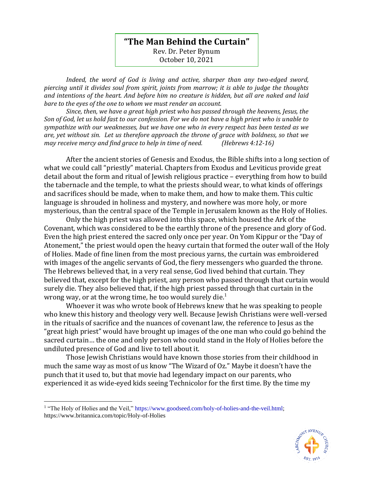## **"The Man Behind the Curtain"** Rev. Dr. Peter Bynum October 10, 2021

*Indeed, the word of God is living and active, sharper than any two-edged sword, piercing until it divides soul from spirit, joints from marrow; it is able to judge the thoughts and intentions of the heart. And before him no creature is hidden, but all are naked and laid bare to the eyes of the one to whom we must render an account.* 

*Since, then, we have a great high priest who has passed through the heavens, Jesus, the Son of God, let us hold fast to our confession. For we do not have a high priest who is unable to sympathize with our weaknesses, but we have one who in every respect has been tested as we are, yet without sin. Let us therefore approach the throne of grace with boldness, so that we may receive mercy and find grace to help in time of need. (Hebrews 4:12-16)*

After the ancient stories of Genesis and Exodus, the Bible shifts into a long section of what we could call "priestly" material. Chapters from Exodus and Leviticus provide great detail about the form and ritual of Jewish religious practice – everything from how to build the tabernacle and the temple, to what the priests should wear, to what kinds of offerings and sacrifices should be made, when to make them, and how to make them. This cultic language is shrouded in holiness and mystery, and nowhere was more holy, or more mysterious, than the central space of the Temple in Jerusalem known as the Holy of Holies.

Only the high priest was allowed into this space, which housed the Ark of the Covenant, which was considered to be the earthly throne of the presence and glory of God. Even the high priest entered the sacred only once per year. On Yom Kippur or the "Day of Atonement," the priest would open the heavy curtain that formed the outer wall of the Holy of Holies. Made of fine linen from the most precious yarns, the curtain was embroidered with images of the angelic servants of God, the fiery messengers who guarded the throne. The Hebrews believed that, in a very real sense, God lived behind that curtain. They believed that, except for the high priest, any person who passed through that curtain would surely die. They also believed that, if the high priest passed through that curtain in the wrong way, or at the wrong time, he too would surely die.<sup>1</sup>

Whoever it was who wrote book of Hebrews knew that he was speaking to people who knew this history and theology very well. Because Jewish Christians were well-versed in the rituals of sacrifice and the nuances of covenant law, the reference to Jesus as the "great high priest" would have brought up images of the one man who could go behind the sacred curtain… the one and only person who could stand in the Holy of Holies before the undiluted presence of God and live to tell about it.

Those Jewish Christians would have known those stories from their childhood in much the same way as most of us know "The Wizard of Oz." Maybe it doesn't have the punch that it used to, but that movie had legendary impact on our parents, who experienced it as wide-eyed kids seeing Technicolor for the first time. By the time my

<sup>&</sup>lt;sup>1</sup> "The Holy of Holies and the Veil," [https://www.goodseed.com/holy-of-holies-and-the-veil.html;](https://www.goodseed.com/holy-of-holies-and-the-veil.html) https://www.britannica.com/topic/Holy-of-Holies

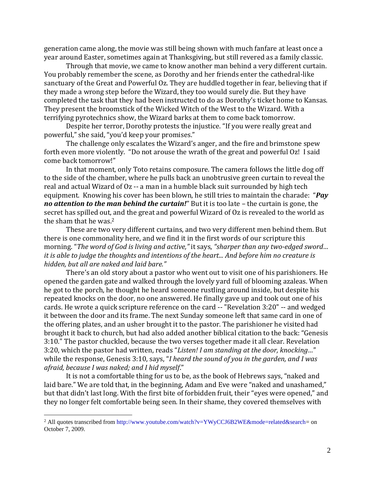generation came along, the movie was still being shown with much fanfare at least once a year around Easter, sometimes again at Thanksgiving, but still revered as a family classic.

Through that movie, we came to know another man behind a very different curtain. You probably remember the scene, as Dorothy and her friends enter the cathedral-like sanctuary of the Great and Powerful Oz. They are huddled together in fear, believing that if they made a wrong step before the Wizard, they too would surely die. But they have completed the task that they had been instructed to do as Dorothy's ticket home to Kansas. They present the broomstick of the Wicked Witch of the West to the Wizard. With a terrifying pyrotechnics show, the Wizard barks at them to come back tomorrow.

Despite her terror, Dorothy protests the injustice. "If you were really great and powerful," she said, "you'd keep your promises."

The challenge only escalates the Wizard's anger, and the fire and brimstone spew forth even more violently. "Do not arouse the wrath of the great and powerful Oz! I said come back tomorrow!"

In that moment, only Toto retains composure. The camera follows the little dog off to the side of the chamber, where he pulls back an unobtrusive green curtain to reveal the real and actual Wizard of Oz -- a man in a humble black suit surrounded by high tech equipment. Knowing his cover has been blown, he still tries to maintain the charade: "*Pay no attention to the man behind the curtain!*" But it is too late – the curtain is gone, the secret has spilled out, and the great and powerful Wizard of Oz is revealed to the world as the sham that he was. 2

These are two very different curtains, and two very different men behind them. But there is one commonality here, and we find it in the first words of our scripture this morning. "*The word of God is living and active,"* it says, *"sharper than any two-edged sword… it is able to judge the thoughts and intentions of the heart... And before him no creature is hidden, but all are naked and laid bare."* 

There's an old story about a pastor who went out to visit one of his parishioners. He opened the garden gate and walked through the lovely yard full of blooming azaleas. When he got to the porch, he thought he heard someone rustling around inside, but despite his repeated knocks on the door, no one answered. He finally gave up and took out one of his cards. He wrote a quick scripture reference on the card -- "Revelation 3:20" -- and wedged it between the door and its frame. The next Sunday someone left that same card in one of the offering plates, and an usher brought it to the pastor. The parishioner he visited had brought it back to church, but had also added another biblical citation to the back: "Genesis 3:10." The pastor chuckled, because the two verses together made it all clear. Revelation 3:20, which the pastor had written, reads "*Listen! I am standing at the door, knocking…*" while the response, Genesis 3:10, says, "*I heard the sound of you in the garden, and I was afraid, because I was naked; and I hid myself*."

It is not a comfortable thing for us to be, as the book of Hebrews says, "naked and laid bare." We are told that, in the beginning, Adam and Eve were "naked and unashamed," but that didn't last long. With the first bite of forbidden fruit, their "eyes were opened," and they no longer felt comfortable being seen. In their shame, they covered themselves with

<sup>&</sup>lt;sup>2</sup> All quotes transcribed fro[m http://www.youtube.com/watch?v=YWyCCJ6B2WE&mode=related&search=](http://www.youtube.com/watch?v=YWyCCJ6B2WE&mode=related&search) on October 7, 2009.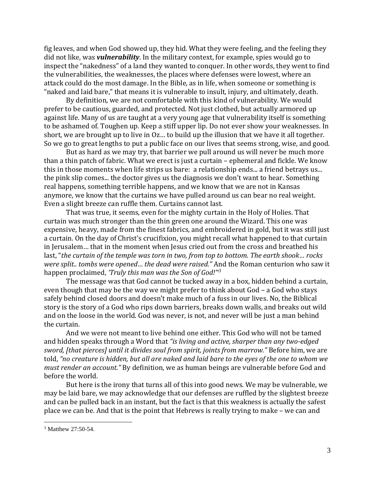fig leaves, and when God showed up, they hid. What they were feeling, and the feeling they did not like, was *vulnerability*. In the military context, for example, spies would go to inspect the "nakedness" of a land they wanted to conquer. In other words, they went to find the vulnerabilities, the weaknesses, the places where defenses were lowest, where an attack could do the most damage. In the Bible, as in life, when someone or something is "naked and laid bare," that means it is vulnerable to insult, injury, and ultimately, death.

By definition, we are not comfortable with this kind of vulnerability. We would prefer to be cautious, guarded, and protected. Not just clothed, but actually armored up against life. Many of us are taught at a very young age that vulnerability itself is something to be ashamed of. Toughen up. Keep a stiff upper lip. Do not ever show your weaknesses. In short, we are brought up to live in Oz… to build up the illusion that we have it all together. So we go to great lengths to put a public face on our lives that seems strong, wise, and good.

But as hard as we may try, that barrier we pull around us will never be much more than a thin patch of fabric. What we erect is just a curtain – ephemeral and fickle. We know this in those moments when life strips us bare: a relationship ends... a friend betrays us... the pink slip comes... the doctor gives us the diagnosis we don't want to hear. Something real happens, something terrible happens, and we know that we are not in Kansas anymore, we know that the curtains we have pulled around us can bear no real weight. Even a slight breeze can ruffle them. Curtains cannot last.

That was true, it seems, even for the mighty curtain in the Holy of Holies. That curtain was much stronger than the thin green one around the Wizard. This one was expensive, heavy, made from the finest fabrics, and embroidered in gold, but it was still just a curtain. On the day of Christ's crucifixion, you might recall what happened to that curtain in Jerusalem… that in the moment when Jesus cried out from the cross and breathed his last, "*the curtain of the temple was torn in two, from top to bottom. The earth shook… rocks were split.. tombs were opened… the dead were raised."* And the Roman centurion who saw it happen proclaimed, *'Truly this man was the Son of God!'[\\*](javascript:void(0);)<sup>3</sup>*

The message was that God cannot be tucked away in a box, hidden behind a curtain, even though that may be the way we might prefer to think about God – a God who stays safely behind closed doors and doesn't make much of a fuss in our lives. No, the Biblical story is the story of a God who rips down barriers, breaks down walls, and breaks out wild and on the loose in the world. God was never, is not, and never will be just a man behind the curtain.

And we were not meant to live behind one either. This God who will not be tamed and hidden speaks through a Word that *"is living and active, sharper than any two-edged sword, [that pierces] until it divides soul from spirit, joints from marrow."* Before him, we are told, *"no creature is hidden, but all are naked and laid bare to the eyes of the one to whom we must render an account."* By definition, we as human beings are vulnerable before God and before the world.

But here is the irony that turns all of this into good news. We may be vulnerable, we may be laid bare, we may acknowledge that our defenses are ruffled by the slightest breeze and can be pulled back in an instant, but the fact is that this weakness is actually the safest place we can be. And that is the point that Hebrews is really trying to make – we can and

<sup>3</sup> Matthew 27:50-54.